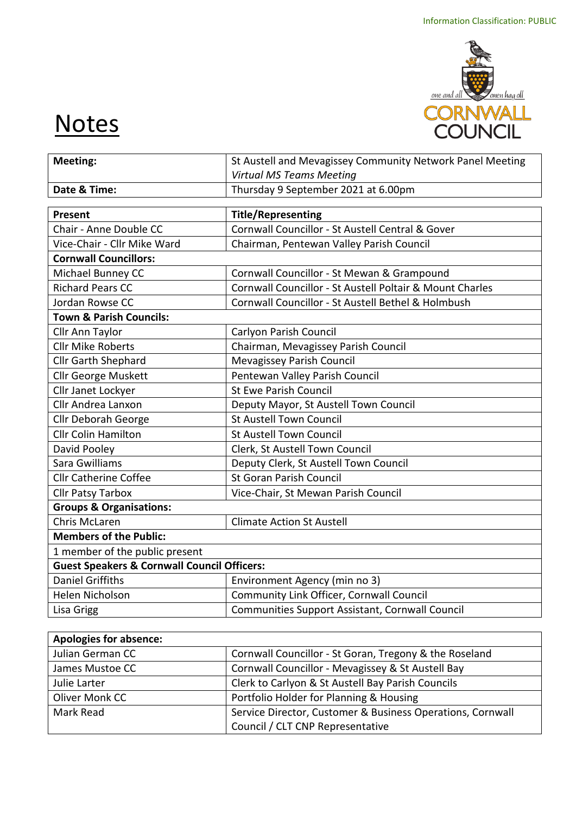

## **Notes**

| <b>Meeting:</b>                                        | St Austell and Mevagissey Community Network Panel Meeting |  |  |
|--------------------------------------------------------|-----------------------------------------------------------|--|--|
|                                                        | <b>Virtual MS Teams Meeting</b>                           |  |  |
| Date & Time:                                           | Thursday 9 September 2021 at 6.00pm                       |  |  |
|                                                        |                                                           |  |  |
| Present                                                | <b>Title/Representing</b>                                 |  |  |
| Chair - Anne Double CC                                 | Cornwall Councillor - St Austell Central & Gover          |  |  |
| Vice-Chair - Cllr Mike Ward                            | Chairman, Pentewan Valley Parish Council                  |  |  |
| <b>Cornwall Councillors:</b>                           |                                                           |  |  |
| Michael Bunney CC                                      | Cornwall Councillor - St Mewan & Grampound                |  |  |
| <b>Richard Pears CC</b>                                | Cornwall Councillor - St Austell Poltair & Mount Charles  |  |  |
| Jordan Rowse CC                                        | Cornwall Councillor - St Austell Bethel & Holmbush        |  |  |
| <b>Town &amp; Parish Councils:</b>                     |                                                           |  |  |
| Cllr Ann Taylor                                        | Carlyon Parish Council                                    |  |  |
| <b>Cllr Mike Roberts</b>                               | Chairman, Mevagissey Parish Council                       |  |  |
| Cllr Garth Shephard                                    | <b>Mevagissey Parish Council</b>                          |  |  |
| <b>Cllr George Muskett</b>                             | Pentewan Valley Parish Council                            |  |  |
| Cllr Janet Lockyer                                     | <b>St Ewe Parish Council</b>                              |  |  |
| Cllr Andrea Lanxon                                     | Deputy Mayor, St Austell Town Council                     |  |  |
| <b>Cllr Deborah George</b>                             | <b>St Austell Town Council</b>                            |  |  |
| <b>Cllr Colin Hamilton</b>                             | <b>St Austell Town Council</b>                            |  |  |
| David Pooley                                           | Clerk, St Austell Town Council                            |  |  |
| Sara Gwilliams                                         | Deputy Clerk, St Austell Town Council                     |  |  |
| <b>Cllr Catherine Coffee</b>                           | <b>St Goran Parish Council</b>                            |  |  |
| <b>Cllr Patsy Tarbox</b>                               | Vice-Chair, St Mewan Parish Council                       |  |  |
| <b>Groups &amp; Organisations:</b>                     |                                                           |  |  |
| <b>Chris McLaren</b>                                   | <b>Climate Action St Austell</b>                          |  |  |
| <b>Members of the Public:</b>                          |                                                           |  |  |
| 1 member of the public present                         |                                                           |  |  |
| <b>Guest Speakers &amp; Cornwall Council Officers:</b> |                                                           |  |  |
| <b>Daniel Griffiths</b>                                | Environment Agency (min no 3)                             |  |  |
| Helen Nicholson                                        | Community Link Officer, Cornwall Council                  |  |  |
| Lisa Grigg                                             | Communities Support Assistant, Cornwall Council           |  |  |
|                                                        |                                                           |  |  |
| Analastes fan aka                                      |                                                           |  |  |

| <b>Apologies for absence:</b> |                                                            |  |  |
|-------------------------------|------------------------------------------------------------|--|--|
| Julian German CC              | Cornwall Councillor - St Goran, Tregony & the Roseland     |  |  |
| James Mustoe CC               | Cornwall Councillor - Mevagissey & St Austell Bay          |  |  |
| Julie Larter                  | Clerk to Carlyon & St Austell Bay Parish Councils          |  |  |
| Oliver Monk CC                | Portfolio Holder for Planning & Housing                    |  |  |
| Mark Read                     | Service Director, Customer & Business Operations, Cornwall |  |  |
|                               | Council / CLT CNP Representative                           |  |  |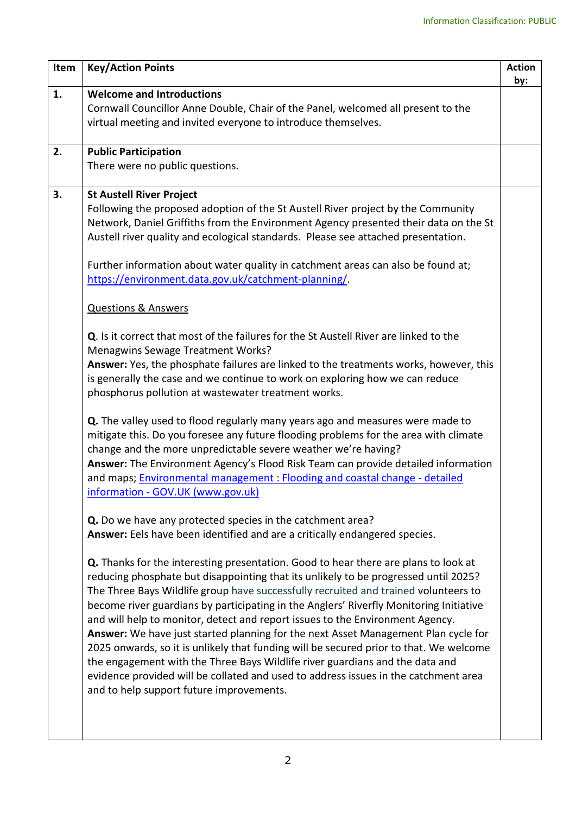| Item | <b>Key/Action Points</b>                                                                                                                                                                                                                                                                                                                                                                                                                                                                                                                                                                                                                                                                                                                                                                                                                                                                                                                                                                                                                                                                                                                                                                                                                                                                                                                                                                                                                                                                                                                                                                                                                                                                                                                                                                                                                                                                                                                                                                                                                                                                                                                                                                                                                                                                                              | <b>Action</b><br>by: |
|------|-----------------------------------------------------------------------------------------------------------------------------------------------------------------------------------------------------------------------------------------------------------------------------------------------------------------------------------------------------------------------------------------------------------------------------------------------------------------------------------------------------------------------------------------------------------------------------------------------------------------------------------------------------------------------------------------------------------------------------------------------------------------------------------------------------------------------------------------------------------------------------------------------------------------------------------------------------------------------------------------------------------------------------------------------------------------------------------------------------------------------------------------------------------------------------------------------------------------------------------------------------------------------------------------------------------------------------------------------------------------------------------------------------------------------------------------------------------------------------------------------------------------------------------------------------------------------------------------------------------------------------------------------------------------------------------------------------------------------------------------------------------------------------------------------------------------------------------------------------------------------------------------------------------------------------------------------------------------------------------------------------------------------------------------------------------------------------------------------------------------------------------------------------------------------------------------------------------------------------------------------------------------------------------------------------------------------|----------------------|
| 1.   | <b>Welcome and Introductions</b><br>Cornwall Councillor Anne Double, Chair of the Panel, welcomed all present to the<br>virtual meeting and invited everyone to introduce themselves.                                                                                                                                                                                                                                                                                                                                                                                                                                                                                                                                                                                                                                                                                                                                                                                                                                                                                                                                                                                                                                                                                                                                                                                                                                                                                                                                                                                                                                                                                                                                                                                                                                                                                                                                                                                                                                                                                                                                                                                                                                                                                                                                 |                      |
| 2.   | <b>Public Participation</b><br>There were no public questions.                                                                                                                                                                                                                                                                                                                                                                                                                                                                                                                                                                                                                                                                                                                                                                                                                                                                                                                                                                                                                                                                                                                                                                                                                                                                                                                                                                                                                                                                                                                                                                                                                                                                                                                                                                                                                                                                                                                                                                                                                                                                                                                                                                                                                                                        |                      |
| 3.   | <b>St Austell River Project</b><br>Following the proposed adoption of the St Austell River project by the Community<br>Network, Daniel Griffiths from the Environment Agency presented their data on the St<br>Austell river quality and ecological standards. Please see attached presentation.<br>Further information about water quality in catchment areas can also be found at;<br>https://environment.data.gov.uk/catchment-planning/.<br><b>Questions &amp; Answers</b><br><b>Q.</b> Is it correct that most of the failures for the St Austell River are linked to the<br><b>Menagwins Sewage Treatment Works?</b><br>Answer: Yes, the phosphate failures are linked to the treatments works, however, this<br>is generally the case and we continue to work on exploring how we can reduce<br>phosphorus pollution at wastewater treatment works.<br>Q. The valley used to flood regularly many years ago and measures were made to<br>mitigate this. Do you foresee any future flooding problems for the area with climate<br>change and the more unpredictable severe weather we're having?<br>Answer: The Environment Agency's Flood Risk Team can provide detailed information<br>and maps; Environmental management : Flooding and coastal change - detailed<br>information - GOV.UK (www.gov.uk)<br>Q. Do we have any protected species in the catchment area?<br>Answer: Eels have been identified and are a critically endangered species.<br><b>Q.</b> Thanks for the interesting presentation. Good to hear there are plans to look at<br>reducing phosphate but disappointing that its unlikely to be progressed until 2025?<br>The Three Bays Wildlife group have successfully recruited and trained volunteers to<br>become river guardians by participating in the Anglers' Riverfly Monitoring Initiative<br>and will help to monitor, detect and report issues to the Environment Agency.<br>Answer: We have just started planning for the next Asset Management Plan cycle for<br>2025 onwards, so it is unlikely that funding will be secured prior to that. We welcome<br>the engagement with the Three Bays Wildlife river guardians and the data and<br>evidence provided will be collated and used to address issues in the catchment area<br>and to help support future improvements. |                      |
|      |                                                                                                                                                                                                                                                                                                                                                                                                                                                                                                                                                                                                                                                                                                                                                                                                                                                                                                                                                                                                                                                                                                                                                                                                                                                                                                                                                                                                                                                                                                                                                                                                                                                                                                                                                                                                                                                                                                                                                                                                                                                                                                                                                                                                                                                                                                                       |                      |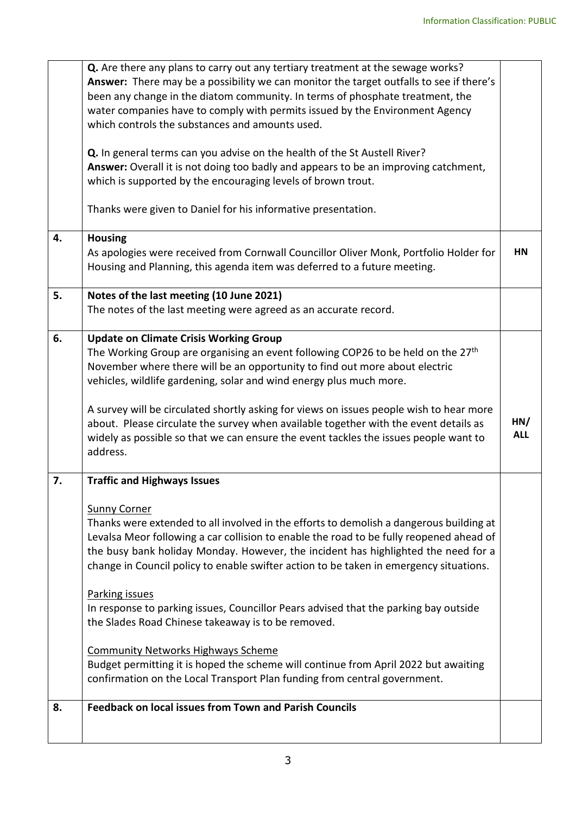|    | Q. Are there any plans to carry out any tertiary treatment at the sewage works?              |            |
|----|----------------------------------------------------------------------------------------------|------------|
|    | Answer: There may be a possibility we can monitor the target outfalls to see if there's      |            |
|    | been any change in the diatom community. In terms of phosphate treatment, the                |            |
|    | water companies have to comply with permits issued by the Environment Agency                 |            |
|    | which controls the substances and amounts used.                                              |            |
|    | Q. In general terms can you advise on the health of the St Austell River?                    |            |
|    | Answer: Overall it is not doing too badly and appears to be an improving catchment,          |            |
|    | which is supported by the encouraging levels of brown trout.                                 |            |
|    | Thanks were given to Daniel for his informative presentation.                                |            |
| 4. | <b>Housing</b>                                                                               |            |
|    | As apologies were received from Cornwall Councillor Oliver Monk, Portfolio Holder for        | <b>HN</b>  |
|    | Housing and Planning, this agenda item was deferred to a future meeting.                     |            |
| 5. | Notes of the last meeting (10 June 2021)                                                     |            |
|    | The notes of the last meeting were agreed as an accurate record.                             |            |
|    |                                                                                              |            |
| 6. | <b>Update on Climate Crisis Working Group</b>                                                |            |
|    | The Working Group are organising an event following COP26 to be held on the 27 <sup>th</sup> |            |
|    | November where there will be an opportunity to find out more about electric                  |            |
|    | vehicles, wildlife gardening, solar and wind energy plus much more.                          |            |
|    | A survey will be circulated shortly asking for views on issues people wish to hear more      |            |
|    | about. Please circulate the survey when available together with the event details as         | HN/        |
|    | widely as possible so that we can ensure the event tackles the issues people want to         | <b>ALL</b> |
|    | address.                                                                                     |            |
|    |                                                                                              |            |
| 7. | <b>Traffic and Highways Issues</b>                                                           |            |
|    | <b>Sunny Corner</b>                                                                          |            |
|    | Thanks were extended to all involved in the efforts to demolish a dangerous building at      |            |
|    | Levalsa Meor following a car collision to enable the road to be fully reopened ahead of      |            |
|    | the busy bank holiday Monday. However, the incident has highlighted the need for a           |            |
|    | change in Council policy to enable swifter action to be taken in emergency situations.       |            |
|    |                                                                                              |            |
|    | <b>Parking issues</b>                                                                        |            |
|    | In response to parking issues, Councillor Pears advised that the parking bay outside         |            |
|    | the Slades Road Chinese takeaway is to be removed.                                           |            |
|    | <b>Community Networks Highways Scheme</b>                                                    |            |
|    | Budget permitting it is hoped the scheme will continue from April 2022 but awaiting          |            |
|    | confirmation on the Local Transport Plan funding from central government.                    |            |
| 8. | <b>Feedback on local issues from Town and Parish Councils</b>                                |            |
|    |                                                                                              |            |
|    |                                                                                              |            |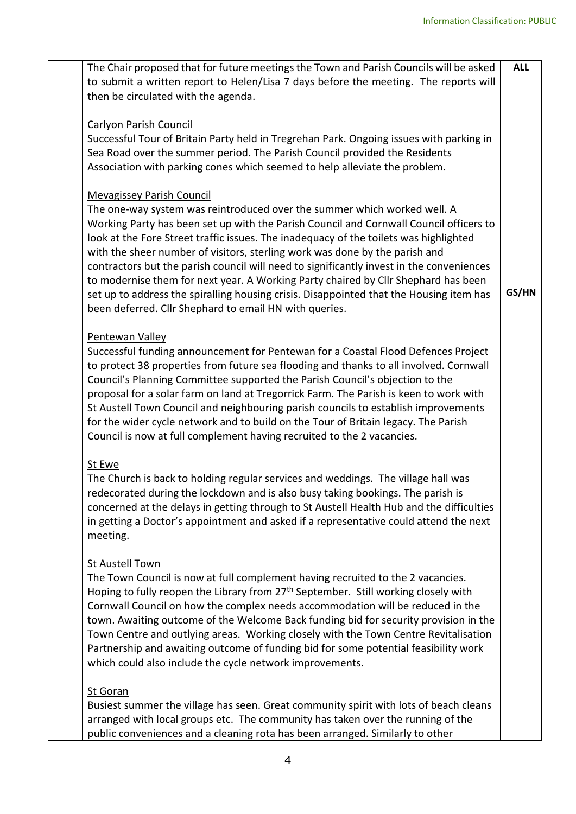| The Chair proposed that for future meetings the Town and Parish Councils will be asked         | <b>ALL</b> |
|------------------------------------------------------------------------------------------------|------------|
| to submit a written report to Helen/Lisa 7 days before the meeting. The reports will           |            |
| then be circulated with the agenda.                                                            |            |
|                                                                                                |            |
| <b>Carlyon Parish Council</b>                                                                  |            |
| Successful Tour of Britain Party held in Tregrehan Park. Ongoing issues with parking in        |            |
| Sea Road over the summer period. The Parish Council provided the Residents                     |            |
| Association with parking cones which seemed to help alleviate the problem.                     |            |
|                                                                                                |            |
| <b>Mevagissey Parish Council</b>                                                               |            |
| The one-way system was reintroduced over the summer which worked well. A                       |            |
| Working Party has been set up with the Parish Council and Cornwall Council officers to         |            |
| look at the Fore Street traffic issues. The inadequacy of the toilets was highlighted          |            |
| with the sheer number of visitors, sterling work was done by the parish and                    |            |
| contractors but the parish council will need to significantly invest in the conveniences       |            |
| to modernise them for next year. A Working Party chaired by Cllr Shephard has been             |            |
| set up to address the spiralling housing crisis. Disappointed that the Housing item has        | GS/HN      |
| been deferred. Cllr Shephard to email HN with queries.                                         |            |
|                                                                                                |            |
| Pentewan Valley                                                                                |            |
| Successful funding announcement for Pentewan for a Coastal Flood Defences Project              |            |
| to protect 38 properties from future sea flooding and thanks to all involved. Cornwall         |            |
| Council's Planning Committee supported the Parish Council's objection to the                   |            |
| proposal for a solar farm on land at Tregorrick Farm. The Parish is keen to work with          |            |
| St Austell Town Council and neighbouring parish councils to establish improvements             |            |
| for the wider cycle network and to build on the Tour of Britain legacy. The Parish             |            |
| Council is now at full complement having recruited to the 2 vacancies.                         |            |
|                                                                                                |            |
| St Ewe                                                                                         |            |
| The Church is back to holding regular services and weddings. The village hall was              |            |
| redecorated during the lockdown and is also busy taking bookings. The parish is                |            |
| concerned at the delays in getting through to St Austell Health Hub and the difficulties       |            |
| in getting a Doctor's appointment and asked if a representative could attend the next          |            |
| meeting.                                                                                       |            |
|                                                                                                |            |
| St Austell Town                                                                                |            |
| The Town Council is now at full complement having recruited to the 2 vacancies.                |            |
| Hoping to fully reopen the Library from 27 <sup>th</sup> September. Still working closely with |            |
| Cornwall Council on how the complex needs accommodation will be reduced in the                 |            |
| town. Awaiting outcome of the Welcome Back funding bid for security provision in the           |            |
| Town Centre and outlying areas. Working closely with the Town Centre Revitalisation            |            |
| Partnership and awaiting outcome of funding bid for some potential feasibility work            |            |
| which could also include the cycle network improvements.                                       |            |
|                                                                                                |            |
| <b>St Goran</b>                                                                                |            |
| Busiest summer the village has seen. Great community spirit with lots of beach cleans          |            |
| arranged with local groups etc. The community has taken over the running of the                |            |
| public conveniences and a cleaning rota has been arranged. Similarly to other                  |            |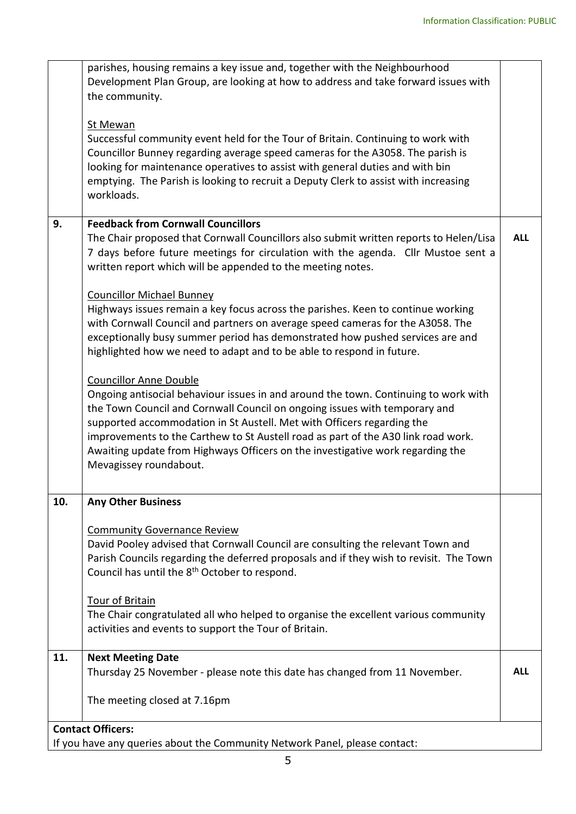|     | parishes, housing remains a key issue and, together with the Neighbourhood<br>Development Plan Group, are looking at how to address and take forward issues with<br>the community.                                                                                                                                                                                                                                                                                            |            |
|-----|-------------------------------------------------------------------------------------------------------------------------------------------------------------------------------------------------------------------------------------------------------------------------------------------------------------------------------------------------------------------------------------------------------------------------------------------------------------------------------|------------|
|     | St Mewan<br>Successful community event held for the Tour of Britain. Continuing to work with<br>Councillor Bunney regarding average speed cameras for the A3058. The parish is<br>looking for maintenance operatives to assist with general duties and with bin<br>emptying. The Parish is looking to recruit a Deputy Clerk to assist with increasing<br>workloads.                                                                                                          |            |
| 9.  | <b>Feedback from Cornwall Councillors</b><br>The Chair proposed that Cornwall Councillors also submit written reports to Helen/Lisa<br>7 days before future meetings for circulation with the agenda. Cllr Mustoe sent a<br>written report which will be appended to the meeting notes.                                                                                                                                                                                       | <b>ALL</b> |
|     | <b>Councillor Michael Bunney</b><br>Highways issues remain a key focus across the parishes. Keen to continue working<br>with Cornwall Council and partners on average speed cameras for the A3058. The<br>exceptionally busy summer period has demonstrated how pushed services are and<br>highlighted how we need to adapt and to be able to respond in future.                                                                                                              |            |
|     | <b>Councillor Anne Double</b><br>Ongoing antisocial behaviour issues in and around the town. Continuing to work with<br>the Town Council and Cornwall Council on ongoing issues with temporary and<br>supported accommodation in St Austell. Met with Officers regarding the<br>improvements to the Carthew to St Austell road as part of the A30 link road work.<br>Awaiting update from Highways Officers on the investigative work regarding the<br>Mevagissey roundabout. |            |
| 10. | <b>Any Other Business</b>                                                                                                                                                                                                                                                                                                                                                                                                                                                     |            |
|     | <b>Community Governance Review</b><br>David Pooley advised that Cornwall Council are consulting the relevant Town and<br>Parish Councils regarding the deferred proposals and if they wish to revisit. The Town<br>Council has until the 8 <sup>th</sup> October to respond.                                                                                                                                                                                                  |            |
|     | <b>Tour of Britain</b><br>The Chair congratulated all who helped to organise the excellent various community<br>activities and events to support the Tour of Britain.                                                                                                                                                                                                                                                                                                         |            |
| 11. | <b>Next Meeting Date</b><br>Thursday 25 November - please note this date has changed from 11 November.                                                                                                                                                                                                                                                                                                                                                                        | <b>ALL</b> |
|     | The meeting closed at 7.16pm                                                                                                                                                                                                                                                                                                                                                                                                                                                  |            |
|     | <b>Contact Officers:</b>                                                                                                                                                                                                                                                                                                                                                                                                                                                      |            |
|     | If you have any queries about the Community Network Panel, please contact:                                                                                                                                                                                                                                                                                                                                                                                                    |            |